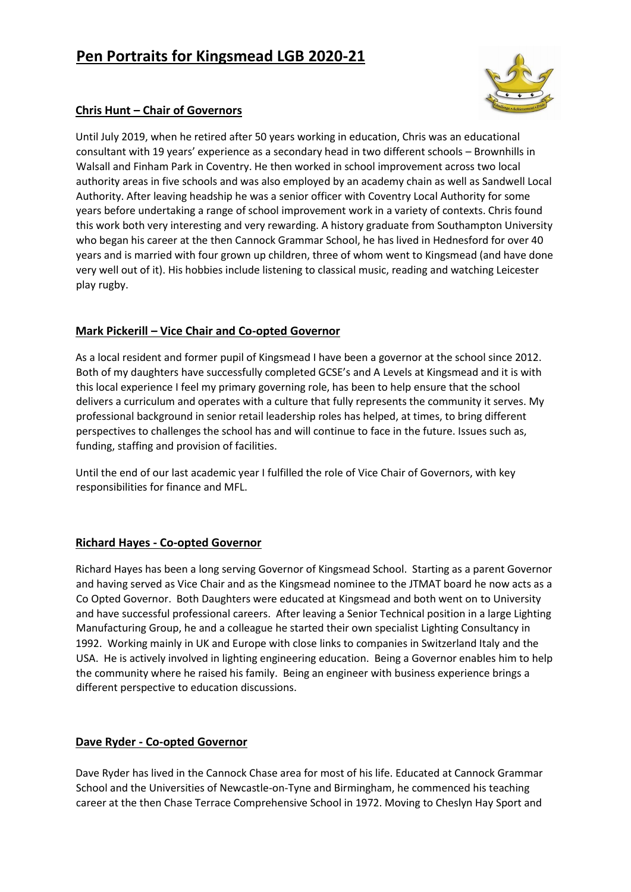# **Pen Portraits for Kingsmead LGB 2020-21**



## **Chris Hunt – Chair of Governors**

Until July 2019, when he retired after 50 years working in education, Chris was an educational consultant with 19 years' experience as a secondary head in two different schools – Brownhills in Walsall and Finham Park in Coventry. He then worked in school improvement across two local authority areas in five schools and was also employed by an academy chain as well as Sandwell Local Authority. After leaving headship he was a senior officer with Coventry Local Authority for some years before undertaking a range of school improvement work in a variety of contexts. Chris found this work both very interesting and very rewarding. A history graduate from Southampton University who began his career at the then Cannock Grammar School, he has lived in Hednesford for over 40 years and is married with four grown up children, three of whom went to Kingsmead (and have done very well out of it). His hobbies include listening to classical music, reading and watching Leicester play rugby.

### **Mark Pickerill – Vice Chair and Co-opted Governor**

As a local resident and former pupil of Kingsmead I have been a governor at the school since 2012. Both of my daughters have successfully completed GCSE's and A Levels at Kingsmead and it is with this local experience I feel my primary governing role, has been to help ensure that the school delivers a curriculum and operates with a culture that fully represents the community it serves. My professional background in senior retail leadership roles has helped, at times, to bring different perspectives to challenges the school has and will continue to face in the future. Issues such as, funding, staffing and provision of facilities.

Until the end of our last academic year I fulfilled the role of Vice Chair of Governors, with key responsibilities for finance and MFL.

#### **Richard Hayes - Co-opted Governor**

Richard Hayes has been a long serving Governor of Kingsmead School. Starting as a parent Governor and having served as Vice Chair and as the Kingsmead nominee to the JTMAT board he now acts as a Co Opted Governor. Both Daughters were educated at Kingsmead and both went on to University and have successful professional careers. After leaving a Senior Technical position in a large Lighting Manufacturing Group, he and a colleague he started their own specialist Lighting Consultancy in 1992. Working mainly in UK and Europe with close links to companies in Switzerland Italy and the USA. He is actively involved in lighting engineering education. Being a Governor enables him to help the community where he raised his family. Being an engineer with business experience brings a different perspective to education discussions.

#### **Dave Ryder - Co-opted Governor**

Dave Ryder has lived in the Cannock Chase area for most of his life. Educated at Cannock Grammar School and the Universities of Newcastle-on-Tyne and Birmingham, he commenced his teaching career at the then Chase Terrace Comprehensive School in 1972. Moving to Cheslyn Hay Sport and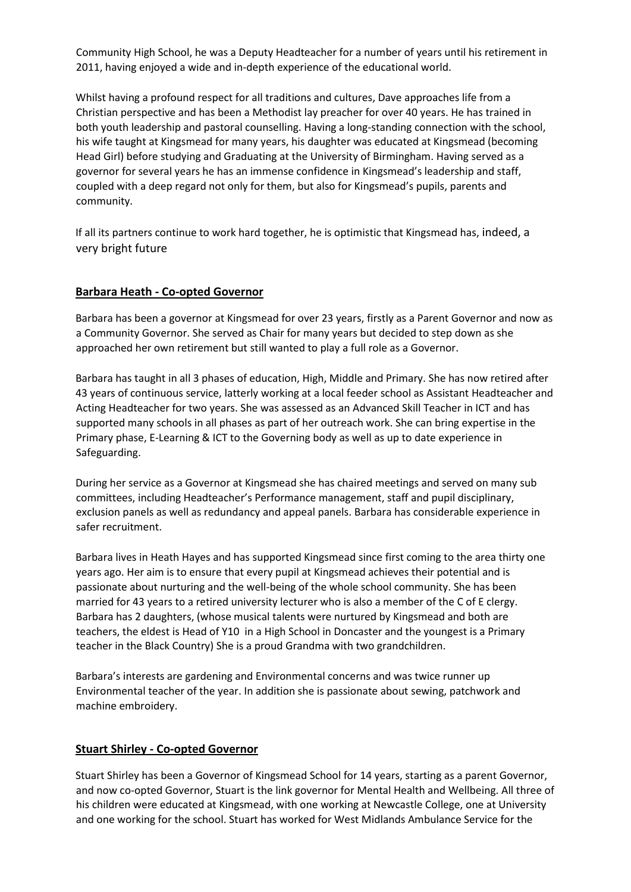Community High School, he was a Deputy Headteacher for a number of years until his retirement in 2011, having enjoyed a wide and in-depth experience of the educational world.

Whilst having a profound respect for all traditions and cultures, Dave approaches life from a Christian perspective and has been a Methodist lay preacher for over 40 years. He has trained in both youth leadership and pastoral counselling. Having a long-standing connection with the school, his wife taught at Kingsmead for many years, his daughter was educated at Kingsmead (becoming Head Girl) before studying and Graduating at the University of Birmingham. Having served as a governor for several years he has an immense confidence in Kingsmead's leadership and staff, coupled with a deep regard not only for them, but also for Kingsmead's pupils, parents and community.

If all its partners continue to work hard together, he is optimistic that Kingsmead has, indeed, a very bright future

#### **Barbara Heath - Co-opted Governor**

Barbara has been a governor at Kingsmead for over 23 years, firstly as a Parent Governor and now as a Community Governor. She served as Chair for many years but decided to step down as she approached her own retirement but still wanted to play a full role as a Governor.

Barbara has taught in all 3 phases of education, High, Middle and Primary. She has now retired after 43 years of continuous service, latterly working at a local feeder school as Assistant Headteacher and Acting Headteacher for two years. She was assessed as an Advanced Skill Teacher in ICT and has supported many schools in all phases as part of her outreach work. She can bring expertise in the Primary phase, E-Learning & ICT to the Governing body as well as up to date experience in Safeguarding.

During her service as a Governor at Kingsmead she has chaired meetings and served on many sub committees, including Headteacher's Performance management, staff and pupil disciplinary, exclusion panels as well as redundancy and appeal panels. Barbara has considerable experience in safer recruitment.

Barbara lives in Heath Hayes and has supported Kingsmead since first coming to the area thirty one years ago. Her aim is to ensure that every pupil at Kingsmead achieves their potential and is passionate about nurturing and the well-being of the whole school community. She has been married for 43 years to a retired university lecturer who is also a member of the C of E clergy. Barbara has 2 daughters, (whose musical talents were nurtured by Kingsmead and both are teachers, the eldest is Head of Y10 in a High School in Doncaster and the youngest is a Primary teacher in the Black Country) She is a proud Grandma with two grandchildren.

Barbara's interests are gardening and Environmental concerns and was twice runner up Environmental teacher of the year. In addition she is passionate about sewing, patchwork and machine embroidery.

#### **Stuart Shirley - Co-opted Governor**

Stuart Shirley has been a Governor of Kingsmead School for 14 years, starting as a parent Governor, and now co-opted Governor, Stuart is the link governor for Mental Health and Wellbeing. All three of his children were educated at Kingsmead, with one working at Newcastle College, one at University and one working for the school. Stuart has worked for West Midlands Ambulance Service for the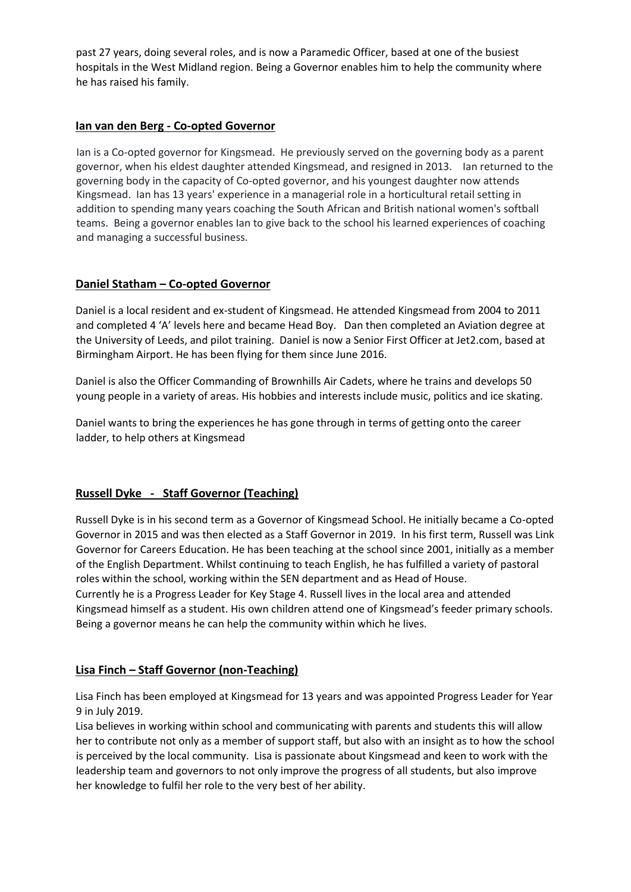past 27 years, doing several roles, and is now a Paramedic Officer, based at one of the busiest hospitals in the West Midland region. Being a Governor enables him to help the community where he has raised his family.

#### **Ian van den Berg - Co-opted Governor**

Ian is a Co-opted governor for Kingsmead. He previously served on the governing body as a parent governor, when his eldest daughter attended Kingsmead, and resigned in 2013. Ian returned to the governing body in the capacity of Co-opted governor, and his youngest daughter now attends Kingsmead. Ian has 13 years' experience in a managerial role in a horticultural retail setting in addition to spending many years coaching the South African and British national women's softball teams. Being a governor enables Ian to give back to the school his learned experiences of coaching and managing a successful business.

### **Daniel Statham – Co-opted Governor**

Daniel is a local resident and ex-student of Kingsmead. He attended Kingsmead from 2004 to 2011 and completed 4 'A' levels here and became Head Boy. Dan then completed an Aviation degree at the University of Leeds, and pilot training. Daniel is now a Senior First Officer at Jet2.com, based at Birmingham Airport. He has been flying for them since June 2016.

Daniel is also the Officer Commanding of Brownhills Air Cadets, where he trains and develops 50 young people in a variety of areas. His hobbies and interests include music, politics and ice skating.

Daniel wants to bring the experiences he has gone through in terms of getting onto the career ladder, to help others at Kingsmead

#### **Russell Dyke - Staff Governor (Teaching)**

Russell Dyke is in his second term as a Governor of Kingsmead School. He initially became a Co-opted Governor in 2015 and was then elected as a Staff Governor in 2019. In his first term, Russell was Link Governor for Careers Education. He has been teaching at the school since 2001, initially as a member of the English Department. Whilst continuing to teach English, he has fulfilled a variety of pastoral roles within the school, working within the SEN department and as Head of House. Currently he is a Progress Leader for Key Stage 4. Russell lives in the local area and attended Kingsmead himself as a student. His own children attend one of Kingsmead's feeder primary schools. Being a governor means he can help the community within which he lives.

#### **Lisa Finch – Staff Governor (non-Teaching)**

Lisa Finch has been employed at Kingsmead for 13 years and was appointed Progress Leader for Year 9 in July 2019.

Lisa believes in working within school and communicating with parents and students this will allow her to contribute not only as a member of support staff, but also with an insight as to how the school is perceived by the local community. Lisa is passionate about Kingsmead and keen to work with the leadership team and governors to not only improve the progress of all students, but also improve her knowledge to fulfil her role to the very best of her ability.